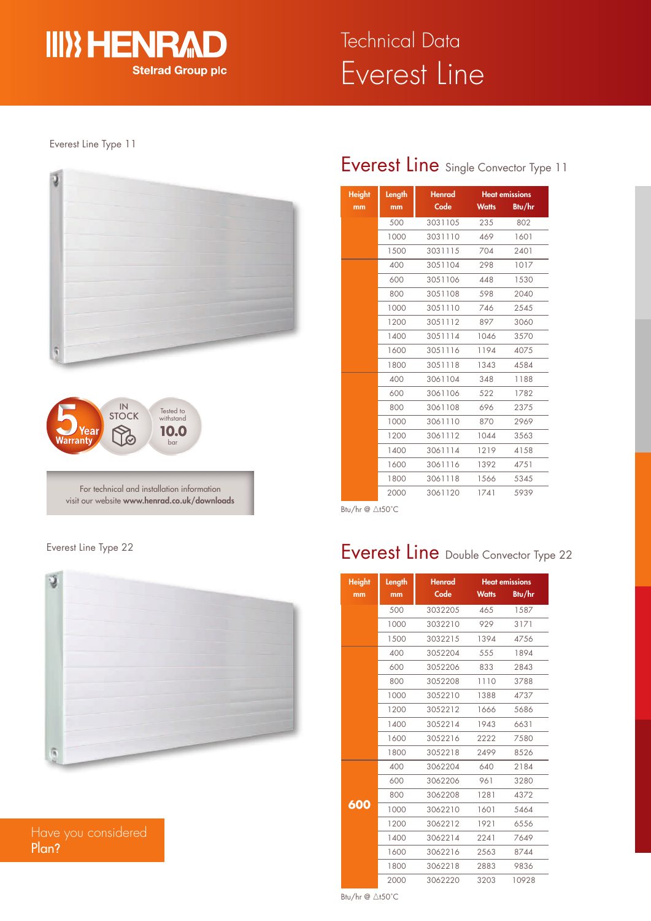

#### Everest Line Type 11





For technical and installation information visit our website **www.henrad.co.uk/downloads**

## Everest Line Type 22



Have you considered Plan**?**

# Everest Line Single Convector Type 11

| <b>Height</b> | Length | Henrad  | <b>Heat emissions</b> |        |
|---------------|--------|---------|-----------------------|--------|
| mm            | mm     | Code    | <b>Watts</b>          | Btu/hr |
|               | 500    | 3031105 | 235                   | 802    |
|               | 1000   | 3031110 | 469                   | 1601   |
|               | 1500   | 3031115 | 704                   | 2401   |
|               | 400    | 3051104 | 298                   | 1017   |
|               | 600    | 3051106 | 448                   | 1530   |
|               | 800    | 3051108 | 598                   | 2040   |
|               | 1000   | 3051110 | 746                   | 2545   |
|               | 1200   | 3051112 | 897                   | 3060   |
|               | 1400   | 3051114 | 1046                  | 3570   |
|               | 1600   | 3051116 | 1194                  | 4075   |
|               | 1800   | 3051118 | 1343                  | 4584   |
|               | 400    | 3061104 | 348                   | 1188   |
|               | 600    | 3061106 | 522                   | 1782   |
|               | 800    | 3061108 | 696                   | 2375   |
|               | 1000   | 3061110 | 870                   | 2969   |
|               | 1200   | 3061112 | 1044                  | 3563   |
|               | 1400   | 3061114 | 1219                  | 4158   |
|               | 1600   | 3061116 | 1392                  | 4751   |
|               | 1800   | 3061118 | 1566                  | 5345   |
|               | 2000   | 3061120 | 1741                  | 5939   |

Btu/hr @ ∆t50°C

# Everest Line Double Convector Type 22

| <b>Height</b> | Length | Henrad<br><b>Heat emissions</b> |              |        |  |
|---------------|--------|---------------------------------|--------------|--------|--|
| mm            | mm     | Code                            | <b>Watts</b> | Btu/hr |  |
|               | 500    | 3032205                         | 465          | 1587   |  |
|               | 1000   | 3032210                         | 929          | 3171   |  |
|               | 1500   | 3032215                         | 1394         | 4756   |  |
|               | 400    | 3052204                         | 555          | 1894   |  |
|               | 600    | 3052206                         | 833          | 2843   |  |
|               | 800    | 3052208                         | 1110         | 3788   |  |
|               | 1000   | 3052210                         | 1388         | 4737   |  |
|               | 1200   | 3052212                         | 1666         | 5686   |  |
|               | 1400   | 3052214                         | 1943         | 6631   |  |
|               | 1600   | 3052216                         | 2222         | 7580   |  |
|               | 1800   | 3052218                         | 2499         | 8526   |  |
|               | 400    | 3062204                         | 640          | 2184   |  |
|               | 600    | 3062206                         | 961          | 3280   |  |
|               | 800    | 3062208                         | 1281         | 4372   |  |
| 600           | 1000   | 3062210                         | 1601         | 5464   |  |
|               | 1200   | 3062212                         | 1921         | 6556   |  |
|               | 1400   | 3062214                         | 2241         | 7649   |  |
|               | 1600   | 3062216                         | 2563         | 8744   |  |
|               | 1800   | 3062218                         | 2883         | 9836   |  |
|               | 2000   | 3062220                         | 3203         | 10928  |  |

Btu/hr  $@$   $\triangle$ t50°C